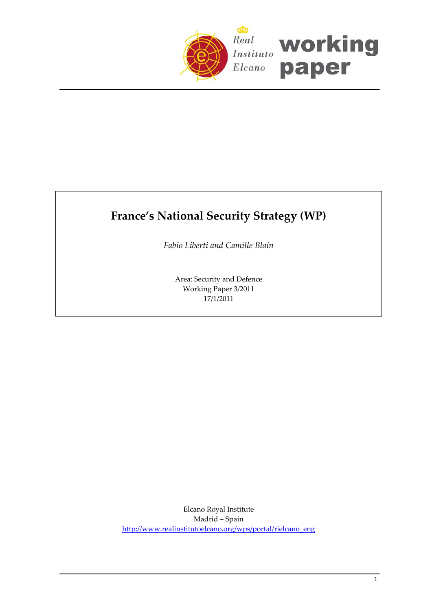

# **France's National Security Strategy (WP)**

*Fabio Liberti and Camille Blain*

Area: Security and Defence Working Paper 3/2011 17/1/2011

Elcano Royal Institute Madrid – Spain [http://www.realinstitutoelcano.org/wps/portal/rielcano\\_eng](http://www.realinstitutoelcano.org/wps/portal/rielcano_eng)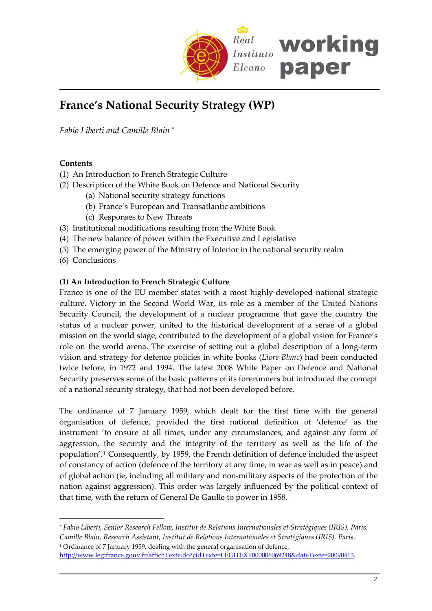

# **France's National Security Strategy (WP)**

*Fabio Liberti and Camille Blain* [\\*](#page-1-0)

# **Contents**

- (1) An Introduction to French Strategic Culture
- (2) Description of the White Book on Defence and National Security
	- (a) National security strategy functions
	- (b) France's European and Transatlantic ambitions
	- (c) Responses to New Threats
- (3) Institutional modifications resulting from the White Book
- (4) The new balance of power within the Executive and Legislative
- (5) The emerging power of the Ministry of Interior in the national security realm
- (6) Conclusions

 $\overline{a}$ 

### **(1) An Introduction to French Strategic Culture**

France is one of the EU member states with a most highly‐developed national strategic culture. Victory in the Second World War, its role as a member of the United Nations Security Council, the development of a nuclear programme that gave the country the status of a nuclear power, united to the historical development of a sense of a global mission on the world stage, contributed to the development of a global vision for France's role on the world arena. The exercise of setting out a global description of a long‐term vision and strategy for defence policies in white books (*Livre Blanc*) had been conducted twice before, in 1972 and 1994. The latest 2008 White Paper on Defence and National Security preserves some of the basic patterns of its forerunners but introduced the concept of a national security strategy, that had not been developed before.

The ordinance of 7 January 1959, which dealt for the first time with the general organisation of defence, provided the first national definition of 'defence' as the instrument 'to ensure at all times, under any circumstances, and against any form of aggression, the security and the integrity of the territory as well as the life of the population'. [1](#page-1-1) Consequently, by 1959, the French definition of defence included the aspect of constancy of action (defence of the territory at any time, in war as well as in peace) and of global action (ie, including all military and non‐military aspects of the protection of the nation against aggression). This order was largely influenced by the political context of that time, with the return of General De Gaulle to power in 1958.

<span id="page-1-0"></span>*<sup>\*</sup> Fabio Liberti, Senior Research Fellow, Institut de Relations Internationales et Stratégiques (IRIS), Paris. Camille Blain, Research Assistant, Institut de Relations Internationales et Stratégiques (IRIS), Paris..* <sup>1</sup> Ordinance of 7 January 1959, dealing with the general organisation of defence,

<span id="page-1-1"></span>[http://www.legifrance.gouv.fr/affichTexte.do?cidTexte=LEGITEXT000006069248&dateTexte=20090413.](http://www.legifrance.gouv.fr/affichTexte.do?cidTexte=LEGITEXT000006069248&dateTexte=20090413)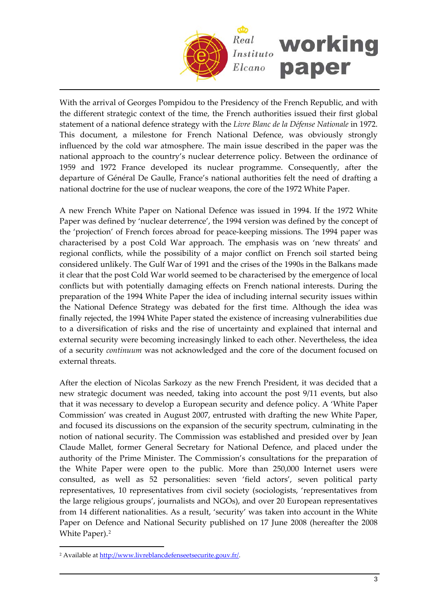

With the arrival of Georges Pompidou to the Presidency of the French Republic, and with the different strategic context of the time, the French authorities issued their first global statement of a national defence strategy with the *Livre Blanc de la Défense Nationale* in 1972. This document, a milestone for French National Defence, was obviously strongly influenced by the cold war atmosphere. The main issue described in the paper was the national approach to the country's nuclear deterrence policy. Between the ordinance of 1959 and 1972 France developed its nuclear programme. Consequently, after the departure of Général De Gaulle, France's national authorities felt the need of drafting a national doctrine for the use of nuclear weapons, the core of the 1972 White Paper.

A new French White Paper on National Defence was issued in 1994. If the 1972 White Paper was defined by 'nuclear deterrence', the 1994 version was defined by the concept of the 'projection' of French forces abroad for peace‐keeping missions. The 1994 paper was characterised by a post Cold War approach. The emphasis was on 'new threats' and regional conflicts, while the possibility of a major conflict on French soil started being considered unlikely. The Gulf War of 1991 and the crises of the 1990s in the Balkans made it clear that the post Cold War world seemed to be characterised by the emergence of local conflicts but with potentially damaging effects on French national interests. During the preparation of the 1994 White Paper the idea of including internal security issues within the National Defence Strategy was debated for the first time. Although the idea was finally rejected, the 1994 White Paper stated the existence of increasing vulnerabilities due to a diversification of risks and the rise of uncertainty and explained that internal and external security were becoming increasingly linked to each other. Nevertheless, the idea of a security *continuum* was not acknowledged and the core of the document focused on external threats.

After the election of Nicolas Sarkozy as the new French President, it was decided that a new strategic document was needed, taking into account the post 9/11 events, but also that it was necessary to develop a European security and defence policy. A 'White Paper Commission' was created in August 2007, entrusted with drafting the new White Paper, and focused its discussions on the expansion of the security spectrum, culminating in the notion of national security. The Commission was established and presided over by Jean Claude Mallet, former General Secretary for National Defence, and placed under the authority of the Prime Minister. The Commission's consultations for the preparation of the White Paper were open to the public. More than 250,000 Internet users were consulted, as well as 52 personalities: seven 'field actors', seven political party representatives, 10 representatives from civil society (sociologists, 'representatives from the large religious groups', journalists and NGOs), and over 20 European representatives from 14 different nationalities. As a result, 'security' was taken into account in the White Paper on Defence and National Security published on 17 June 2008 (hereafter the 2008 White Paper).<sup>[2](#page-2-0)</sup>

<span id="page-2-0"></span><sup>&</sup>lt;sup>2</sup> Available at <http://www.livreblancdefenseetsecurite.gouv.fr/>.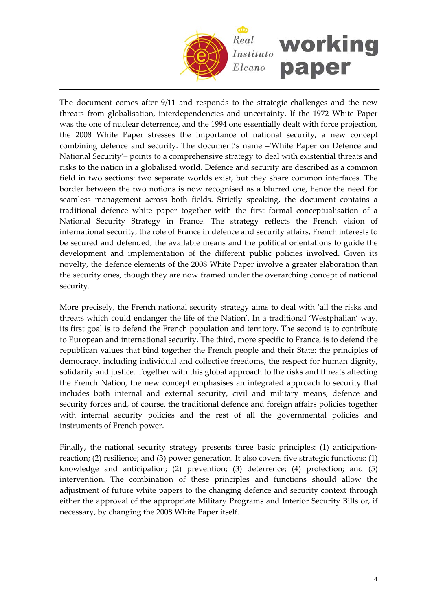

The document comes after 9/11 and responds to the strategic challenges and the new threats from globalisation, interdependencies and uncertainty. If the 1972 White Paper was the one of nuclear deterrence, and the 1994 one essentially dealt with force projection, the 2008 White Paper stresses the importance of national security, a new concept combining defence and security. The document's name –'White Paper on Defence and National Security'– points to a comprehensive strategy to deal with existential threats and risks to the nation in a globalised world. Defence and security are described as a common field in two sections: two separate worlds exist, but they share common interfaces. The border between the two notions is now recognised as a blurred one, hence the need for seamless management across both fields. Strictly speaking, the document contains a traditional defence white paper together with the first formal conceptualisation of a National Security Strategy in France. The strategy reflects the French vision of international security, the role of France in defence and security affairs, French interests to be secured and defended, the available means and the political orientations to guide the development and implementation of the different public policies involved. Given its novelty, the defence elements of the 2008 White Paper involve a greater elaboration than the security ones, though they are now framed under the overarching concept of national security.

More precisely, the French national security strategy aims to deal with 'all the risks and threats which could endanger the life of the Nation'. In a traditional 'Westphalian' way, its first goal is to defend the French population and territory. The second is to contribute to European and international security. The third, more specific to France, is to defend the republican values that bind together the French people and their State: the principles of democracy, including individual and collective freedoms, the respect for human dignity, solidarity and justice. Together with this global approach to the risks and threats affecting the French Nation, the new concept emphasises an integrated approach to security that includes both internal and external security, civil and military means, defence and security forces and, of course, the traditional defence and foreign affairs policies together with internal security policies and the rest of all the governmental policies and instruments of French power.

Finally, the national security strategy presents three basic principles: (1) anticipationreaction; (2) resilience; and (3) power generation. It also covers five strategic functions: (1) knowledge and anticipation; (2) prevention; (3) deterrence; (4) protection; and (5) intervention. The combination of these principles and functions should allow the adjustment of future white papers to the changing defence and security context through either the approval of the appropriate Military Programs and Interior Security Bills or, if necessary, by changing the 2008 White Paper itself.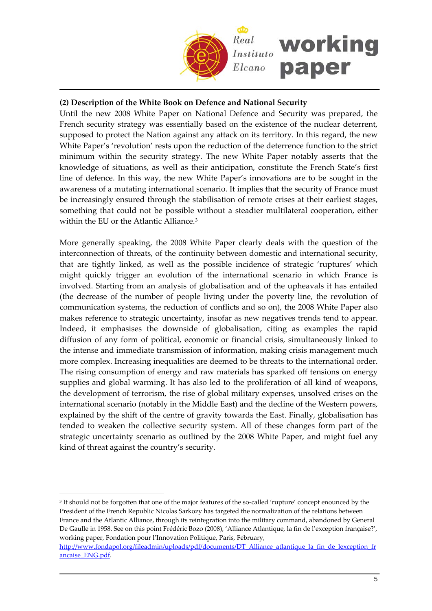

# **(2) Description of the White Book on Defence and National Security**

Until the new 2008 White Paper on National Defence and Security was prepared, the French security strategy was essentially based on the existence of the nuclear deterrent, supposed to protect the Nation against any attack on its territory. In this regard, the new White Paper's 'revolution' rests upon the reduction of the deterrence function to the strict minimum within the security strategy. The new White Paper notably asserts that the knowledge of situations, as well as their anticipation, constitute the French State's first line of defence. In this way, the new White Paper's innovations are to be sought in the awareness of a mutating international scenario. It implies that the security of France must be increasingly ensured through the stabilisation of remote crises at their earliest stages, something that could not be possible without a steadier multilateral cooperation, either within the EU or the Atlantic Alliance.<sup>[3](#page-4-0)</sup>

More generally speaking, the 2008 White Paper clearly deals with the question of the interconnection of threats, of the continuity between domestic and international security, that are tightly linked, as well as the possible incidence of strategic 'ruptures' which might quickly trigger an evolution of the international scenario in which France is involved. Starting from an analysis of globalisation and of the upheavals it has entailed (the decrease of the number of people living under the poverty line, the revolution of communication systems, the reduction of conflicts and so on), the 2008 White Paper also makes reference to strategic uncertainty, insofar as new negatives trends tend to appear. Indeed, it emphasises the downside of globalisation, citing as examples the rapid diffusion of any form of political, economic or financial crisis, simultaneously linked to the intense and immediate transmission of information, making crisis management much more complex. Increasing inequalities are deemed to be threats to the international order. The rising consumption of energy and raw materials has sparked off tensions on energy supplies and global warming. It has also led to the proliferation of all kind of weapons, the development of terrorism, the rise of global military expenses, unsolved crises on the international scenario (notably in the Middle East) and the decline of the Western powers, explained by the shift of the centre of gravity towards the East. Finally, globalisation has tended to weaken the collective security system. All of these changes form part of the strategic uncertainty scenario as outlined by the 2008 White Paper, and might fuel any kind of threat against the country's security.

<span id="page-4-0"></span><sup>3</sup> It should not be forgotten that one of the major features of the so-called 'rupture' concept enounced by the President of the French Republic Nicolas Sarkozy has targeted the normalization of the relations between France and the Atlantic Alliance, through its reintegration into the military command, abandoned by General De Gaulle in 1958. See on this point Frédéric Bozo (2008), 'Alliance Atlantique, la fin de l'exception française?', working paper, Fondation pour l'Innovation Politique, Paris, February,

[http://www.fondapol.org/fileadmin/uploads/pdf/documents/DT\\_Alliance\\_atlantique\\_la\\_fin\\_de\\_lexception\\_fr](http://www.fondapol.org/fileadmin/uploads/pdf/documents/DT_Alliance_atlantique_la_fin_de_lexception_francaise_ENG.pdf) [ancaise\\_ENG.pdf.](http://www.fondapol.org/fileadmin/uploads/pdf/documents/DT_Alliance_atlantique_la_fin_de_lexception_francaise_ENG.pdf)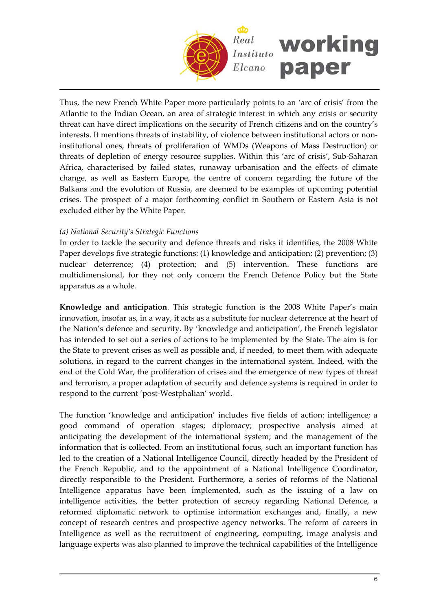

Thus, the new French White Paper more particularly points to an 'arc of crisis' from the Atlantic to the Indian Ocean, an area of strategic interest in which any crisis or security threat can have direct implications on the security of French citizens and on the country's interests. It mentions threats of instability, of violence between institutional actors or noninstitutional ones, threats of proliferation of WMDs (Weapons of Mass Destruction) or threats of depletion of energy resource supplies. Within this 'arc of crisis', Sub‐Saharan Africa, characterised by failed states, runaway urbanisation and the effects of climate change, as well as Eastern Europe, the centre of concern regarding the future of the Balkans and the evolution of Russia, are deemed to be examples of upcoming potential crises. The prospect of a major forthcoming conflict in Southern or Eastern Asia is not excluded either by the White Paper.

### *(a) National Security's Strategic Functions*

In order to tackle the security and defence threats and risks it identifies, the 2008 White Paper develops five strategic functions: (1) knowledge and anticipation; (2) prevention; (3) nuclear deterrence; (4) protection; and (5) intervention. These functions are multidimensional, for they not only concern the French Defence Policy but the State apparatus as a whole.

**Knowledge and anticipation**. This strategic function is the 2008 White Paper's main innovation, insofar as, in a way, it acts as a substitute for nuclear deterrence at the heart of the Nation's defence and security. By 'knowledge and anticipation', the French legislator has intended to set out a series of actions to be implemented by the State. The aim is for the State to prevent crises as well as possible and, if needed, to meet them with adequate solutions, in regard to the current changes in the international system. Indeed, with the end of the Cold War, the proliferation of crises and the emergence of new types of threat and terrorism, a proper adaptation of security and defence systems is required in order to respond to the current 'post‐Westphalian' world.

The function 'knowledge and anticipation' includes five fields of action: intelligence; a good command of operation stages; diplomacy; prospective analysis aimed at anticipating the development of the international system; and the management of the information that is collected. From an institutional focus, such an important function has led to the creation of a National Intelligence Council, directly headed by the President of the French Republic, and to the appointment of a National Intelligence Coordinator, directly responsible to the President. Furthermore, a series of reforms of the National Intelligence apparatus have been implemented, such as the issuing of a law on intelligence activities, the better protection of secrecy regarding National Defence, a reformed diplomatic network to optimise information exchanges and, finally, a new concept of research centres and prospective agency networks. The reform of careers in Intelligence as well as the recruitment of engineering, computing, image analysis and language experts was also planned to improve the technical capabilities of the Intelligence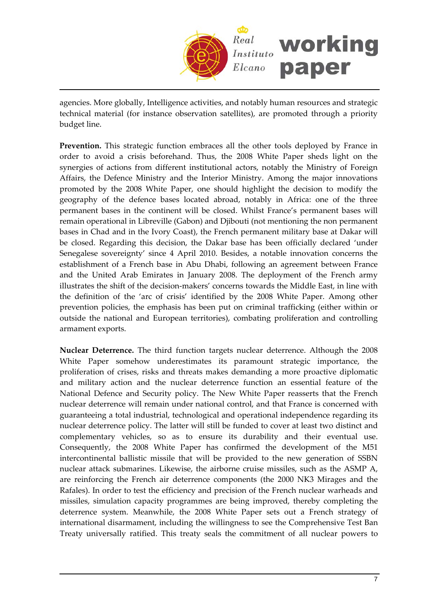

agencies. More globally, Intelligence activities, and notably human resources and strategic technical material (for instance observation satellites), are promoted through a priority budget line.

**Prevention.** This strategic function embraces all the other tools deployed by France in order to avoid a crisis beforehand. Thus, the 2008 White Paper sheds light on the synergies of actions from different institutional actors, notably the Ministry of Foreign Affairs, the Defence Ministry and the Interior Ministry. Among the major innovations promoted by the 2008 White Paper, one should highlight the decision to modify the geography of the defence bases located abroad, notably in Africa: one of the three permanent bases in the continent will be closed. Whilst France's permanent bases will remain operational in Libreville (Gabon) and Djibouti (not mentioning the non permanent bases in Chad and in the Ivory Coast), the French permanent military base at Dakar will be closed. Regarding this decision, the Dakar base has been officially declared 'under Senegalese sovereignty' since 4 April 2010. Besides, a notable innovation concerns the establishment of a French base in Abu Dhabi, following an agreement between France and the United Arab Emirates in January 2008. The deployment of the French army illustrates the shift of the decision‐makers' concerns towards the Middle East, in line with the definition of the 'arc of crisis' identified by the 2008 White Paper. Among other prevention policies, the emphasis has been put on criminal trafficking (either within or outside the national and European territories), combating proliferation and controlling armament exports.

**Nuclear Deterrence.** The third function targets nuclear deterrence. Although the 2008 White Paper somehow underestimates its paramount strategic importance, the proliferation of crises, risks and threats makes demanding a more proactive diplomatic and military action and the nuclear deterrence function an essential feature of the National Defence and Security policy. The New White Paper reasserts that the French nuclear deterrence will remain under national control, and that France is concerned with guaranteeing a total industrial, technological and operational independence regarding its nuclear deterrence policy. The latter will still be funded to cover at least two distinct and complementary vehicles, so as to ensure its durability and their eventual use. Consequently, the 2008 White Paper has confirmed the development of the M51 intercontinental ballistic missile that will be provided to the new generation of SSBN nuclear attack submarines. Likewise, the airborne cruise missiles, such as the ASMP A, are reinforcing the French air deterrence components (the 2000 NK3 Mirages and the Rafales). In order to test the efficiency and precision of the French nuclear warheads and missiles, simulation capacity programmes are being improved, thereby completing the deterrence system. Meanwhile, the 2008 White Paper sets out a French strategy of international disarmament, including the willingness to see the Comprehensive Test Ban Treaty universally ratified. This treaty seals the commitment of all nuclear powers to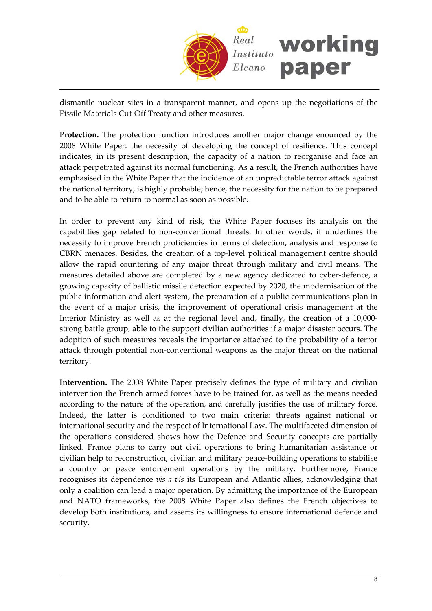

dismantle nuclear sites in a transparent manner, and opens up the negotiations of the Fissile Materials Cut‐Off Treaty and other measures.

**Protection.** The protection function introduces another major change enounced by the 2008 White Paper: the necessity of developing the concept of resilience. This concept indicates, in its present description, the capacity of a nation to reorganise and face an attack perpetrated against its normal functioning. As a result, the French authorities have emphasised in the White Paper that the incidence of an unpredictable terror attack against the national territory, is highly probable; hence, the necessity for the nation to be prepared and to be able to return to normal as soon as possible.

In order to prevent any kind of risk, the White Paper focuses its analysis on the capabilities gap related to non‐conventional threats. In other words, it underlines the necessity to improve French proficiencies in terms of detection, analysis and response to CBRN menaces. Besides, the creation of a top‐level political management centre should allow the rapid countering of any major threat through military and civil means. The measures detailed above are completed by a new agency dedicated to cyber-defence, a growing capacity of ballistic missile detection expected by 2020, the modernisation of the public information and alert system, the preparation of a public communications plan in the event of a major crisis, the improvement of operational crisis management at the Interior Ministry as well as at the regional level and, finally, the creation of a 10,000‐ strong battle group, able to the support civilian authorities if a major disaster occurs. The adoption of such measures reveals the importance attached to the probability of a terror attack through potential non‐conventional weapons as the major threat on the national territory.

**Intervention.** The 2008 White Paper precisely defines the type of military and civilian intervention the French armed forces have to be trained for, as well as the means needed according to the nature of the operation, and carefully justifies the use of military force. Indeed, the latter is conditioned to two main criteria: threats against national or international security and the respect of International Law. The multifaceted dimension of the operations considered shows how the Defence and Security concepts are partially linked. France plans to carry out civil operations to bring humanitarian assistance or civilian help to reconstruction, civilian and military peace‐building operations to stabilise a country or peace enforcement operations by the military. Furthermore, France recognises its dependence *vis a vis* its European and Atlantic allies, acknowledging that only a coalition can lead a major operation. By admitting the importance of the European and NATO frameworks, the 2008 White Paper also defines the French objectives to develop both institutions, and asserts its willingness to ensure international defence and security.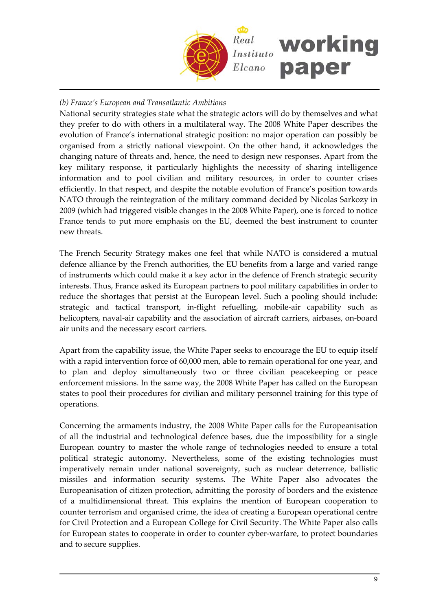

# *(b) France's European and Transatlantic Ambitions*

National security strategies state what the strategic actors will do by themselves and what they prefer to do with others in a multilateral way. The 2008 White Paper describes the evolution of France's international strategic position: no major operation can possibly be organised from a strictly national viewpoint. On the other hand, it acknowledges the changing nature of threats and, hence, the need to design new responses. Apart from the key military response, it particularly highlights the necessity of sharing intelligence information and to pool civilian and military resources, in order to counter crises efficiently. In that respect, and despite the notable evolution of France's position towards NATO through the reintegration of the military command decided by Nicolas Sarkozy in 2009 (which had triggered visible changes in the 2008 White Paper), one is forced to notice France tends to put more emphasis on the EU, deemed the best instrument to counter new threats.

The French Security Strategy makes one feel that while NATO is considered a mutual defence alliance by the French authorities, the EU benefits from a large and varied range of instruments which could make it a key actor in the defence of French strategic security interests. Thus, France asked its European partners to pool military capabilities in order to reduce the shortages that persist at the European level. Such a pooling should include: strategic and tactical transport, in‐flight refuelling, mobile‐air capability such as helicopters, naval-air capability and the association of aircraft carriers, airbases, on-board air units and the necessary escort carriers.

Apart from the capability issue, the White Paper seeks to encourage the EU to equip itself with a rapid intervention force of 60,000 men, able to remain operational for one year, and to plan and deploy simultaneously two or three civilian peacekeeping or peace enforcement missions. In the same way, the 2008 White Paper has called on the European states to pool their procedures for civilian and military personnel training for this type of operations.

Concerning the armaments industry, the 2008 White Paper calls for the Europeanisation of all the industrial and technological defence bases, due the impossibility for a single European country to master the whole range of technologies needed to ensure a total political strategic autonomy. Nevertheless, some of the existing technologies must imperatively remain under national sovereignty, such as nuclear deterrence, ballistic missiles and information security systems. The White Paper also advocates the Europeanisation of citizen protection, admitting the porosity of borders and the existence of a multidimensional threat. This explains the mention of European cooperation to counter terrorism and organised crime, the idea of creating a European operational centre for Civil Protection and a European College for Civil Security. The White Paper also calls for European states to cooperate in order to counter cyber-warfare, to protect boundaries and to secure supplies.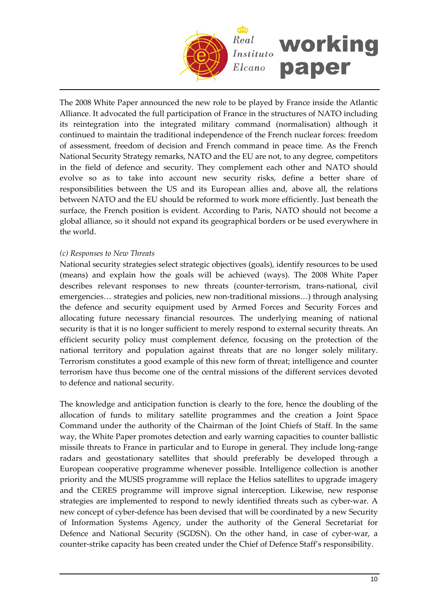

The 2008 White Paper announced the new role to be played by France inside the Atlantic Alliance. It advocated the full participation of France in the structures of NATO including its reintegration into the integrated military command (normalisation) although it continued to maintain the traditional independence of the French nuclear forces: freedom of assessment, freedom of decision and French command in peace time. As the French National Security Strategy remarks, NATO and the EU are not, to any degree, competitors in the field of defence and security. They complement each other and NATO should evolve so as to take into account new security risks, define a better share of responsibilities between the US and its European allies and, above all, the relations between NATO and the EU should be reformed to work more efficiently. Just beneath the surface, the French position is evident. According to Paris, NATO should not become a global alliance, so it should not expand its geographical borders or be used everywhere in the world.

### *(c) Responses to New Threats*

National security strategies select strategic objectives (goals), identify resources to be used (means) and explain how the goals will be achieved (ways). The 2008 White Paper describes relevant responses to new threats (counter‐terrorism, trans‐national, civil emergencies... strategies and policies, new non-traditional missions...) through analysing the defence and security equipment used by Armed Forces and Security Forces and allocating future necessary financial resources. The underlying meaning of national security is that it is no longer sufficient to merely respond to external security threats. An efficient security policy must complement defence, focusing on the protection of the national territory and population against threats that are no longer solely military. Terrorism constitutes a good example of this new form of threat; intelligence and counter terrorism have thus become one of the central missions of the different services devoted to defence and national security.

The knowledge and anticipation function is clearly to the fore, hence the doubling of the allocation of funds to military satellite programmes and the creation a Joint Space Command under the authority of the Chairman of the Joint Chiefs of Staff. In the same way, the White Paper promotes detection and early warning capacities to counter ballistic missile threats to France in particular and to Europe in general. They include long‐range radars and geostationary satellites that should preferably be developed through a European cooperative programme whenever possible. Intelligence collection is another priority and the MUSIS programme will replace the Helios satellites to upgrade imagery and the CERES programme will improve signal interception. Likewise, new response strategies are implemented to respond to newly identified threats such as cyber-war. A new concept of cyber-defence has been devised that will be coordinated by a new Security of Information Systems Agency, under the authority of the General Secretariat for Defence and National Security (SGDSN). On the other hand, in case of cyber-war, a counter‐strike capacity has been created under the Chief of Defence Staff's responsibility.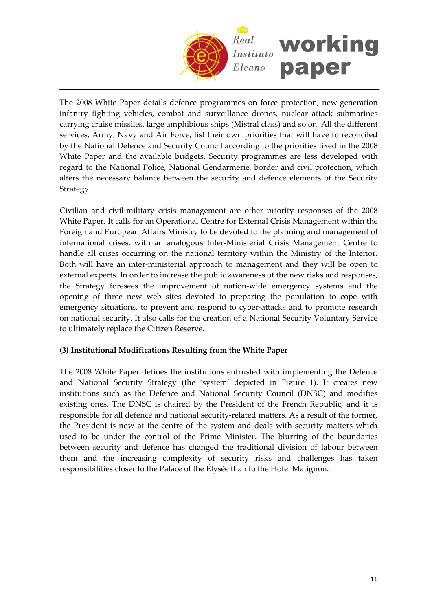

The 2008 White Paper details defence programmes on force protection, new‐generation infantry fighting vehicles, combat and surveillance drones, nuclear attack submarines carrying cruise missiles, large amphibious ships (Mistral class) and so on. All the different services, Army, Navy and Air Force, list their own priorities that will have to reconciled by the National Defence and Security Council according to the priorities fixed in the 2008 White Paper and the available budgets. Security programmes are less developed with regard to the National Police, National Gendarmerie, border and civil protection, which alters the necessary balance between the security and defence elements of the Security Strategy.

Civilian and civil‐military crisis management are other priority responses of the 2008 White Paper. It calls for an Operational Centre for External Crisis Management within the Foreign and European Affairs Ministry to be devoted to the planning and management of international crises, with an analogous Inter‐Ministerial Crisis Management Centre to handle all crises occurring on the national territory within the Ministry of the Interior. Both will have an inter‐ministerial approach to management and they will be open to external experts. In order to increase the public awareness of the new risks and responses, the Strategy foresees the improvement of nation‐wide emergency systems and the opening of three new web sites devoted to preparing the population to cope with emergency situations, to prevent and respond to cyber-attacks and to promote research on national security. It also calls for the creation of a National Security Voluntary Service to ultimately replace the Citizen Reserve.

# **(3) Institutional Modifications Resulting from the White Paper**

The 2008 White Paper defines the institutions entrusted with implementing the Defence and National Security Strategy (the 'system' depicted in Figure 1). It creates new institutions such as the Defence and National Security Council (DNSC) and modifies existing ones. The DNSC is chaired by the President of the French Republic, and it is responsible for all defence and national security-related matters. As a result of the former, the President is now at the centre of the system and deals with security matters which used to be under the control of the Prime Minister. The blurring of the boundaries between security and defence has changed the traditional division of labour between them and the increasing complexity of security risks and challenges has taken responsibilities closer to the Palace of the Élysée than to the Hotel Matignon.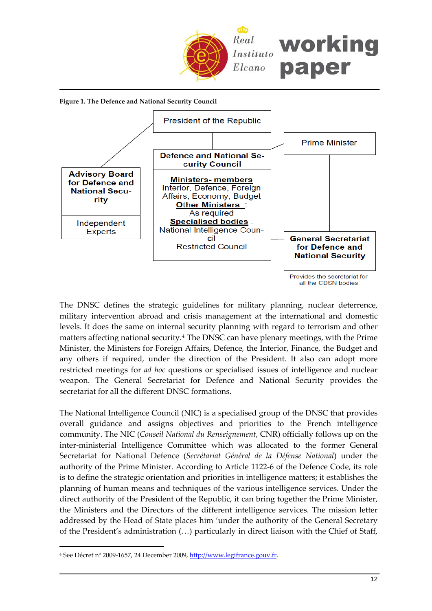

**Figure 1. The Defence and National Security Council**



The DNSC defines the strategic guidelines for military planning, nuclear deterrence, military intervention abroad and crisis management at the international and domestic levels. It does the same on internal security planning with regard to terrorism and other matters affecting national security.[4](#page-11-0) The DNSC can have plenary meetings, with the Prime Minister, the Ministers for Foreign Affairs, Defence, the Interior, Finance, the Budget and any others if required, under the direction of the President. It also can adopt more restricted meetings for *ad hoc* questions or specialised issues of intelligence and nuclear weapon. The General Secretariat for Defence and National Security provides the secretariat for all the different DNSC formations.

The National Intelligence Council (NIC) is a specialised group of the DNSC that provides overall guidance and assigns objectives and priorities to the French intelligence community. The NIC (*Conseil National du Renseignement*, CNR) officially follows up on the inter-ministerial Intelligence Committee which was allocated to the former General Secretariat for National Defence (*Secrétariat Général de la Défense National*) under the authority of the Prime Minister. According to Article 1122‐6 of the Defence Code, its role is to define the strategic orientation and priorities in intelligence matters; it establishes the planning of human means and techniques of the various intelligence services. Under the direct authority of the President of the Republic, it can bring together the Prime Minister, the Ministers and the Directors of the different intelligence services. The mission letter addressed by the Head of State places him 'under the authority of the General Secretary of the President's administration (…) particularly in direct liaison with the Chief of Staff,

<span id="page-11-0"></span><sup>4</sup> See Décret nº 2009‐1657, 24 December 2009, [http://www.legifrance.gouv.fr](http://www.legifrance.gouv.fr/).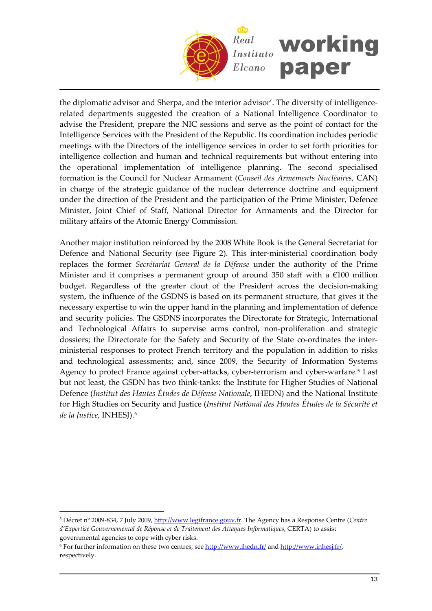

the diplomatic advisor and Sherpa, and the interior advisor'. The diversity of intelligencerelated departments suggested the creation of a National Intelligence Coordinator to advise the President, prepare the NIC sessions and serve as the point of contact for the Intelligence Services with the President of the Republic. Its coordination includes periodic meetings with the Directors of the intelligence services in order to set forth priorities for intelligence collection and human and technical requirements but without entering into the operational implementation of intelligence planning. The second specialised formation is the Council for Nuclear Armament (*Conseil des Armements Nucléaires*, CAN) in charge of the strategic guidance of the nuclear deterrence doctrine and equipment under the direction of the President and the participation of the Prime Minister, Defence Minister, Joint Chief of Staff, National Director for Armaments and the Director for military affairs of the Atomic Energy Commission.

Another major institution reinforced by the 2008 White Book is the General Secretariat for Defence and National Security (see Figure 2). This inter-ministerial coordination body replaces the former *Secrétariat General de la Défense* under the authority of the Prime Minister and it comprises a permanent group of around 350 staff with a  $€100$  million budget. Regardless of the greater clout of the President across the decision‐making system, the influence of the GSDNS is based on its permanent structure, that gives it the necessary expertise to win the upper hand in the planning and implementation of defence and security policies. The GSDNS incorporates the Directorate for Strategic, International and Technological Affairs to supervise arms control, non‐proliferation and strategic dossiers; the Directorate for the Safety and Security of the State co-ordinates the interministerial responses to protect French territory and the population in addition to risks and technological assessments; and, since 2009, the Security of Information Systems Agency to protect France against cyber-attacks, cyber-terrorism and cyber-warfare.<sup>[5](#page-12-0)</sup> Last but not least, the GSDN has two think‐tanks: the Institute for Higher Studies of National Defence (*Institut des Hautes Études de Défense Nationale*, IHEDN) and the National Institute for High Studies on Security and Justice (*Institut National des Hautes Études de la Sécurité et de la Justice*, INHESJ).[6](#page-12-1)

<span id="page-12-0"></span><sup>5</sup> Décret nº 2009‐834, 7 July 2009, [http://www.legifrance.gouv.fr](http://www.legifrance.gouv.fr/). The Agency has a Response Centre (*Centre d'Expertise Gouvernemental de Réponse et de Traitement des Attaques Informatiques*, CERTA) to assist governmental agencies to cope with cyber risks.

<span id="page-12-1"></span><sup>6</sup> For further information on these two centres, see <http://www.ihedn.fr/> and <http://www.inhesj.fr/>, respectively.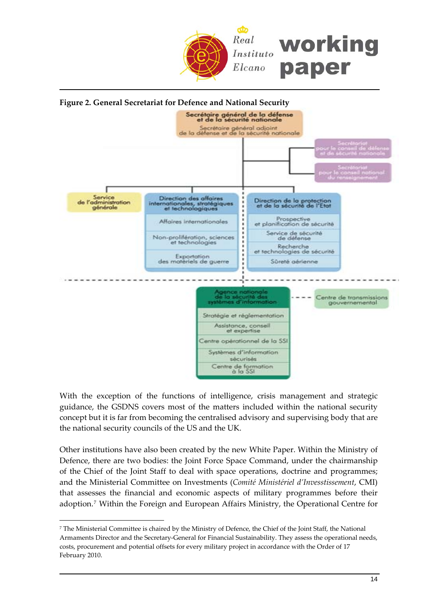



With the exception of the functions of intelligence, crisis management and strategic guidance, the GSDNS covers most of the matters included within the national security concept but it is far from becoming the centralised advisory and supervising body that are the national security councils of the US and the UK.

Other institutions have also been created by the new White Paper. Within the Ministry of Defence, there are two bodies: the Joint Force Space Command, under the chairmanship of the Chief of the Joint Staff to deal with space operations, doctrine and programmes; and the Ministerial Committee on Investments (*Comité Ministériel d'Invesstissement*, CMI) that assesses the financial and economic aspects of military programmes before their adoption.[7](#page-13-0) Within the Foreign and European Affairs Ministry, the Operational Centre for

<span id="page-13-0"></span><sup>7</sup> The Ministerial Committee is chaired by the Ministry of Defence, the Chief of the Joint Staff, the National Armaments Director and the Secretary‐General for Financial Sustainability. They assess the operational needs, costs, procurement and potential offsets for every military project in accordance with the Order of 17 February 2010.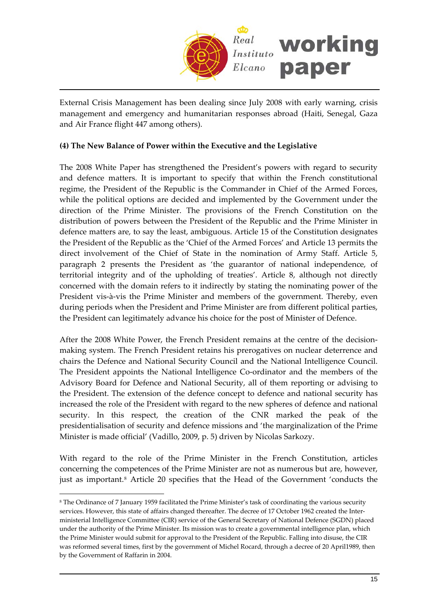

External Crisis Management has been dealing since July 2008 with early warning, crisis management and emergency and humanitarian responses abroad (Haiti, Senegal, Gaza and Air France flight 447 among others).

# **(4) The New Balance of Power within the Executive and the Legislative**

The 2008 White Paper has strengthened the President's powers with regard to security and defence matters. It is important to specify that within the French constitutional regime, the President of the Republic is the Commander in Chief of the Armed Forces, while the political options are decided and implemented by the Government under the direction of the Prime Minister. The provisions of the French Constitution on the distribution of powers between the President of the Republic and the Prime Minister in defence matters are, to say the least, ambiguous. Article 15 of the Constitution designates the President of the Republic as the 'Chief of the Armed Forces' and Article 13 permits the direct involvement of the Chief of State in the nomination of Army Staff. Article 5, paragraph 2 presents the President as 'the guarantor of national independence, of territorial integrity and of the upholding of treaties'. Article 8, although not directly concerned with the domain refers to it indirectly by stating the nominating power of the President vis‐à‐vis the Prime Minister and members of the government. Thereby, even during periods when the President and Prime Minister are from different political parties, the President can legitimately advance his choice for the post of Minister of Defence.

After the 2008 White Power, the French President remains at the centre of the decisionmaking system. The French President retains his prerogatives on nuclear deterrence and chairs the Defence and National Security Council and the National Intelligence Council. The President appoints the National Intelligence Co-ordinator and the members of the Advisory Board for Defence and National Security, all of them reporting or advising to the President. The extension of the defence concept to defence and national security has increased the role of the President with regard to the new spheres of defence and national security. In this respect, the creation of the CNR marked the peak of the presidentialisation of security and defence missions and 'the marginalization of the Prime Minister is made official' (Vadillo, 2009, p. 5) driven by Nicolas Sarkozy.

With regard to the role of the Prime Minister in the French Constitution, articles concerning the competences of the Prime Minister are not as numerous but are, however, just as important.<sup>[8](#page-14-0)</sup> Article 20 specifies that the Head of the Government 'conducts the

<span id="page-14-0"></span><sup>8</sup> The Ordinance of 7 January 1959 facilitated the Prime Minister's task of coordinating the various security services. However, this state of affairs changed thereafter. The decree of 17 October 1962 created the Interministerial Intelligence Committee (CIR) service of the General Secretary of National Defence (SGDN) placed under the authority of the Prime Minister. Its mission was to create a governmental intelligence plan, which the Prime Minister would submit for approval to the President of the Republic. Falling into disuse, the CIR was reformed several times, first by the government of Michel Rocard, through a decree of 20 April1989, then by the Government of Raffarin in 2004.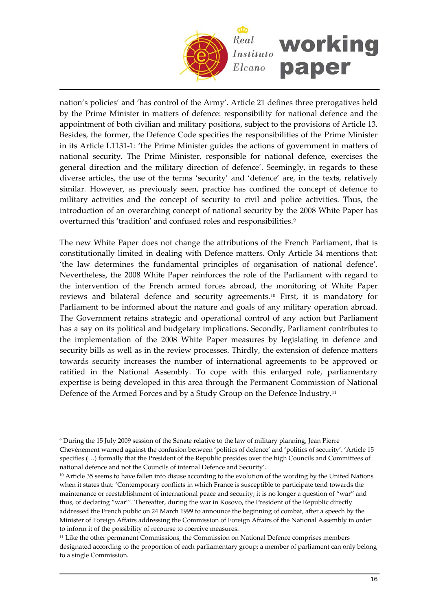

nation's policies' and 'has control of the Army'. Article 21 defines three prerogatives held by the Prime Minister in matters of defence: responsibility for national defence and the appointment of both civilian and military positions, subject to the provisions of Article 13. Besides, the former, the Defence Code specifies the responsibilities of the Prime Minister in its Article L1131‐1: 'the Prime Minister guides the actions of government in matters of national security. The Prime Minister, responsible for national defence, exercises the general direction and the military direction of defence'. Seemingly, in regards to these diverse articles, the use of the terms 'security' and 'defence' are, in the texts, relatively similar. However, as previously seen, practice has confined the concept of defence to military activities and the concept of security to civil and police activities. Thus, the introduction of an overarching concept of national security by the 2008 White Paper has overturned this 'tradition' and confused roles and responsibilities.<sup>[9](#page-15-0)</sup>

The new White Paper does not change the attributions of the French Parliament, that is constitutionally limited in dealing with Defence matters. Only Article 34 mentions that: 'the law determines the fundamental principles of organisation of national defence'. Nevertheless, the 2008 White Paper reinforces the role of the Parliament with regard to the intervention of the French armed forces abroad, the monitoring of White Paper reviews and bilateral defence and security agreements.[10](#page-15-1) First, it is mandatory for Parliament to be informed about the nature and goals of any military operation abroad. The Government retains strategic and operational control of any action but Parliament has a say on its political and budgetary implications. Secondly, Parliament contributes to the implementation of the 2008 White Paper measures by legislating in defence and security bills as well as in the review processes. Thirdly, the extension of defence matters towards security increases the number of international agreements to be approved or ratified in the National Assembly. To cope with this enlarged role, parliamentary expertise is being developed in this area through the Permanent Commission of National Defence of the Armed Forces and by a Study Group on the Defence Industry.[11](#page-15-2)

<span id="page-15-0"></span><sup>9</sup> During the 15 July 2009 session of the Senate relative to the law of military planning, Jean Pierre Chevènement warned against the confusion between 'politics of defence' and 'politics of security'. 'Article 15 specifies (…) formally that the President of the Republic presides over the high Councils and Committees of national defence and not the Councils of internal Defence and Security'.

<span id="page-15-1"></span><sup>&</sup>lt;sup>10</sup> Article 35 seems to have fallen into disuse according to the evolution of the wording by the United Nations when it states that: 'Contemporary conflicts in which France is susceptible to participate tend towards the maintenance or reestablishment of international peace and security; it is no longer a question of "war" and thus, of declaring "war"'. Thereafter, during the war in Kosovo, the President of the Republic directly addressed the French public on 24 March 1999 to announce the beginning of combat, after a speech by the Minister of Foreign Affairs addressing the Commission of Foreign Affairs of the National Assembly in order to inform it of the possibility of recourse to coercive measures.

<span id="page-15-2"></span><sup>&</sup>lt;sup>11</sup> Like the other permanent Commissions, the Commission on National Defence comprises members designated according to the proportion of each parliamentary group; a member of parliament can only belong to a single Commission.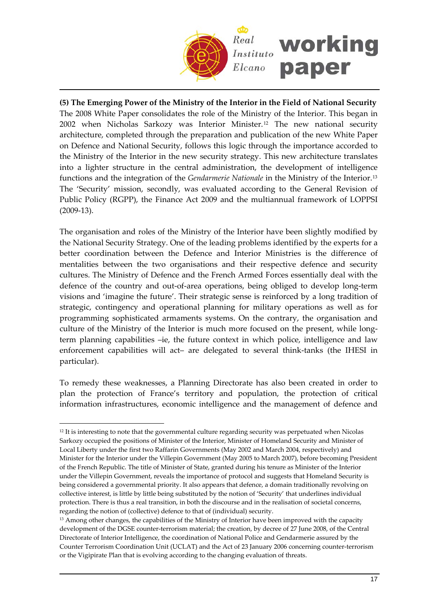

**(5) The Emerging Power of the Ministry of the Interior in the Field of National Security** The 2008 White Paper consolidates the role of the Ministry of the Interior. This began in 2002 when Nicholas Sarkozy was Interior Minister.[12](#page-16-0) The new national security architecture, completed through the preparation and publication of the new White Paper on Defence and National Security, follows this logic through the importance accorded to the Ministry of the Interior in the new security strategy. This new architecture translates into a lighter structure in the central administration, the development of intelligence functions and the integration of the *Gendarmerie Nationale* in the Ministry of the Interior.[13](#page-16-1) The 'Security' mission, secondly, was evaluated according to the General Revision of Public Policy (RGPP), the Finance Act 2009 and the multiannual framework of LOPPSI (2009‐13).

The organisation and roles of the Ministry of the Interior have been slightly modified by the National Security Strategy. One of the leading problems identified by the experts for a better coordination between the Defence and Interior Ministries is the difference of mentalities between the two organisations and their respective defence and security cultures. The Ministry of Defence and the French Armed Forces essentially deal with the defence of the country and out‐of‐area operations, being obliged to develop long‐term visions and 'imagine the future'. Their strategic sense is reinforced by a long tradition of strategic, contingency and operational planning for military operations as well as for programming sophisticated armaments systems. On the contrary, the organisation and culture of the Ministry of the Interior is much more focused on the present, while longterm planning capabilities –ie, the future context in which police, intelligence and law enforcement capabilities will act– are delegated to several think‐tanks (the IHESI in particular).

To remedy these weaknesses, a Planning Directorate has also been created in order to plan the protection of France's territory and population, the protection of critical information infrastructures, economic intelligence and the management of defence and

<span id="page-16-0"></span><sup>&</sup>lt;sup>12</sup> It is interesting to note that the governmental culture regarding security was perpetuated when Nicolas Sarkozy occupied the positions of Minister of the Interior, Minister of Homeland Security and Minister of Local Liberty under the first two Raffarin Governments (May 2002 and March 2004, respectively) and Minister for the Interior under the Villepin Government (May 2005 to March 2007), before becoming President of the French Republic. The title of Minister of State, granted during his tenure as Minister of the Interior under the Villepin Government, reveals the importance of protocol and suggests that Homeland Security is being considered a governmental priority. It also appears that defence, a domain traditionally revolving on collective interest, is little by little being substituted by the notion of 'Security' that underlines individual protection. There is thus a real transition, in both the discourse and in the realisation of societal concerns, regarding the notion of (collective) defence to that of (individual) security.

<span id="page-16-1"></span><sup>&</sup>lt;sup>13</sup> Among other changes, the capabilities of the Ministry of Interior have been improved with the capacity development of the DGSE counter‐terrorism material; the creation, by decree of 27 June 2008, of the Central Directorate of Interior Intelligence, the coordination of National Police and Gendarmerie assured by the Counter Terrorism Coordination Unit (UCLAT) and the Act of 23 January 2006 concerning counter‐terrorism or the Vigipirate Plan that is evolving according to the changing evaluation of threats.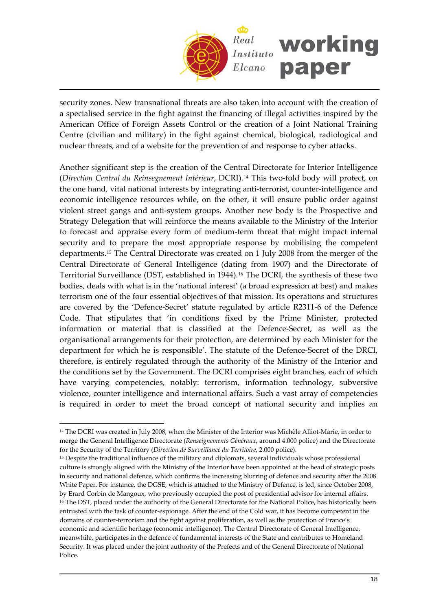

security zones. New transnational threats are also taken into account with the creation of a specialised service in the fight against the financing of illegal activities inspired by the American Office of Foreign Assets Control or the creation of a Joint National Training Centre (civilian and military) in the fight against chemical, biological, radiological and nuclear threats, and of a website for the prevention of and response to cyber attacks.

Another significant step is the creation of the Central Directorate for Interior Intelligence (*Direction Central du Reinsegnement Intérieur*, DCRI).[14](#page-17-0) This two‐fold body will protect, on the one hand, vital national interests by integrating anti-terrorist, counter-intelligence and economic intelligence resources while, on the other, it will ensure public order against violent street gangs and anti‐system groups. Another new body is the Prospective and Strategy Delegation that will reinforce the means available to the Ministry of the Interior to forecast and appraise every form of medium‐term threat that might impact internal security and to prepare the most appropriate response by mobilising the competent departments.[15](#page-17-1) The Central Directorate was created on 1 July 2008 from the merger of the Central Directorate of General Intelligence (dating from 1907) and the Directorate of Territorial Surveillance (DST, established in 1944).[16](#page-17-2) The DCRI, the synthesis of these two bodies, deals with what is in the 'national interest' (a broad expression at best) and makes terrorism one of the four essential objectives of that mission. Its operations and structures are covered by the 'Defence‐Secret' statute regulated by article R2311‐6 of the Defence Code. That stipulates that 'in conditions fixed by the Prime Minister, protected information or material that is classified at the Defence‐Secret, as well as the organisational arrangements for their protection, are determined by each Minister for the department for which he is responsible'. The statute of the Defence‐Secret of the DRCI, therefore, is entirely regulated through the authority of the Ministry of the Interior and the conditions set by the Government. The DCRI comprises eight branches, each of which have varying competencies, notably: terrorism, information technology, subversive violence, counter intelligence and international affairs. Such a vast array of competencies is required in order to meet the broad concept of national security and implies an

<span id="page-17-0"></span><sup>14</sup> The DCRI was created in July 2008, when the Minister of the Interior was Michèle Alliot‐Marie, in order to merge the General Intelligence Directorate (*Renseignements Généraux*, around 4.000 police) and the Directorate for the Security of the Territory (*Direction de Surveillance du Territoire*, 2.000 police).

<span id="page-17-1"></span><sup>&</sup>lt;sup>15</sup> Despite the traditional influence of the military and diplomats, several individuals whose professional culture is strongly aligned with the Ministry of the Interior have been appointed at the head of strategic posts in security and national defence, which confirms the increasing blurring of defence and security after the 2008 White Paper. For instance, the DGSE, which is attached to the Ministry of Defence, is led, since October 2008, by Erard Corbin de Mangoux, who previously occupied the post of presidential advisor for internal affairs.

<span id="page-17-2"></span><sup>&</sup>lt;sup>16</sup> The DST, placed under the authority of the General Directorate for the National Police, has historically been entrusted with the task of counter‐espionage. After the end of the Cold war, it has become competent in the domains of counter‐terrorism and the fight against proliferation, as well as the protection of France's economic and scientific heritage (economic intelligence). The Central Directorate of General Intelligence, meanwhile, participates in the defence of fundamental interests of the State and contributes to Homeland Security. It was placed under the joint authority of the Prefects and of the General Directorate of National Police.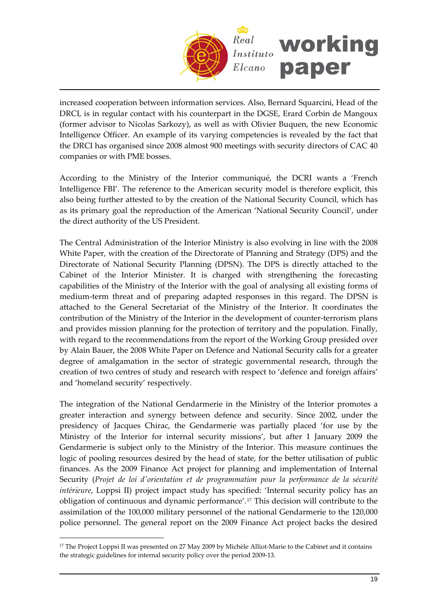

increased cooperation between information services. Also, Bernard Squarcini, Head of the DRCI, is in regular contact with his counterpart in the DGSE, Erard Corbin de Mangoux (former advisor to Nicolas Sarkozy), as well as with Olivier Buquen, the new Economic Intelligence Officer. An example of its varying competencies is revealed by the fact that the DRCI has organised since 2008 almost 900 meetings with security directors of CAC 40 companies or with PME bosses.

According to the Ministry of the Interior communiqué, the DCRI wants a 'French Intelligence FBI'. The reference to the American security model is therefore explicit, this also being further attested to by the creation of the National Security Council, which has as its primary goal the reproduction of the American 'National Security Council', under the direct authority of the US President.

The Central Administration of the Interior Ministry is also evolving in line with the 2008 White Paper, with the creation of the Directorate of Planning and Strategy (DPS) and the Directorate of National Security Planning (DPSN). The DPS is directly attached to the Cabinet of the Interior Minister. It is charged with strengthening the forecasting capabilities of the Ministry of the Interior with the goal of analysing all existing forms of medium‐term threat and of preparing adapted responses in this regard. The DPSN is attached to the General Secretariat of the Ministry of the Interior. It coordinates the contribution of the Ministry of the Interior in the development of counter-terrorism plans and provides mission planning for the protection of territory and the population. Finally, with regard to the recommendations from the report of the Working Group presided over by Alain Bauer, the 2008 White Paper on Defence and National Security calls for a greater degree of amalgamation in the sector of strategic governmental research, through the creation of two centres of study and research with respect to 'defence and foreign affairs' and 'homeland security' respectively.

The integration of the National Gendarmerie in the Ministry of the Interior promotes a greater interaction and synergy between defence and security. Since 2002, under the presidency of Jacques Chirac, the Gendarmerie was partially placed 'for use by the Ministry of the Interior for internal security missions', but after 1 January 2009 the Gendarmerie is subject only to the Ministry of the Interior. This measure continues the logic of pooling resources desired by the head of state, for the better utilisation of public finances. As the 2009 Finance Act project for planning and implementation of Internal Security (*Projet de loi dʹorientation et de programmation pour la performance de la sécurité intérieure*, Loppsi II) project impact study has specified: 'Internal security policy has an obligation of continuous and dynamic performance'.[17](#page-18-0) This decision will contribute to the assimilation of the 100,000 military personnel of the national Gendarmerie to the 120,000 police personnel. The general report on the 2009 Finance Act project backs the desired

<span id="page-18-0"></span><sup>&</sup>lt;sup>17</sup> The Project Loppsi II was presented on 27 May 2009 by Michèle Alliot-Marie to the Cabinet and it contains the strategic guidelines for internal security policy over the period 2009‐13.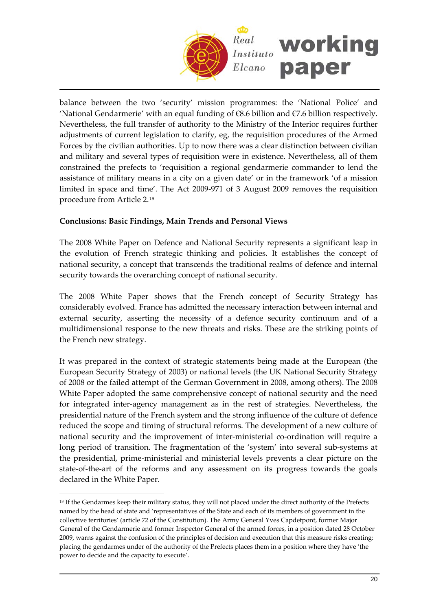

balance between the two 'security' mission programmes: the 'National Police' and 'National Gendarmerie' with an equal funding of  $68.6$  billion and  $67.6$  billion respectively. Nevertheless, the full transfer of authority to the Ministry of the Interior requires further adjustments of current legislation to clarify, eg, the requisition procedures of the Armed Forces by the civilian authorities. Up to now there was a clear distinction between civilian and military and several types of requisition were in existence. Nevertheless, all of them constrained the prefects to 'requisition a regional gendarmerie commander to lend the assistance of military means in a city on a given date' or in the framework 'of a mission limited in space and time'. The Act 2009‐971 of 3 August 2009 removes the requisition procedure from Article 2.[18](#page-19-0)

### **Conclusions: Basic Findings, Main Trends and Personal Views**

The 2008 White Paper on Defence and National Security represents a significant leap in the evolution of French strategic thinking and policies. It establishes the concept of national security, a concept that transcends the traditional realms of defence and internal security towards the overarching concept of national security.

The 2008 White Paper shows that the French concept of Security Strategy has considerably evolved. France has admitted the necessary interaction between internal and external security, asserting the necessity of a defence security continuum and of a multidimensional response to the new threats and risks. These are the striking points of the French new strategy.

It was prepared in the context of strategic statements being made at the European (the European Security Strategy of 2003) or national levels (the UK National Security Strategy of 2008 or the failed attempt of the German Government in 2008, among others). The 2008 White Paper adopted the same comprehensive concept of national security and the need for integrated inter‐agency management as in the rest of strategies. Nevertheless, the presidential nature of the French system and the strong influence of the culture of defence reduced the scope and timing of structural reforms. The development of a new culture of national security and the improvement of inter-ministerial co-ordination will require a long period of transition. The fragmentation of the 'system' into several sub-systems at the presidential, prime‐ministerial and ministerial levels prevents a clear picture on the state-of-the-art of the reforms and any assessment on its progress towards the goals declared in the White Paper.

<span id="page-19-0"></span><sup>&</sup>lt;sup>18</sup> If the Gendarmes keep their military status, they will not placed under the direct authority of the Prefects named by the head of state and 'representatives of the State and each of its members of government in the collective territories' (article 72 of the Constitution). The Army General Yves Capdetpont, former Major General of the Gendarmerie and former Inspector General of the armed forces, in a position dated 28 October 2009, warns against the confusion of the principles of decision and execution that this measure risks creating: placing the gendarmes under of the authority of the Prefects places them in a position where they have 'the power to decide and the capacity to execute'.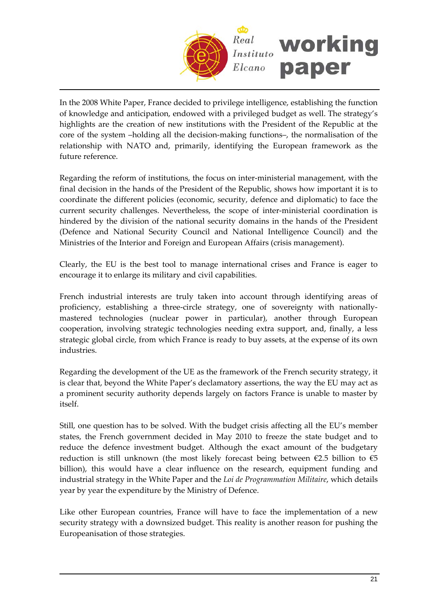

In the 2008 White Paper, France decided to privilege intelligence, establishing the function of knowledge and anticipation, endowed with a privileged budget as well. The strategy's highlights are the creation of new institutions with the President of the Republic at the core of the system –holding all the decision‐making functions–, the normalisation of the relationship with NATO and, primarily, identifying the European framework as the future reference.

Regarding the reform of institutions, the focus on inter-ministerial management, with the final decision in the hands of the President of the Republic, shows how important it is to coordinate the different policies (economic, security, defence and diplomatic) to face the current security challenges. Nevertheless, the scope of inter‐ministerial coordination is hindered by the division of the national security domains in the hands of the President (Defence and National Security Council and National Intelligence Council) and the Ministries of the Interior and Foreign and European Affairs (crisis management).

Clearly, the EU is the best tool to manage international crises and France is eager to encourage it to enlarge its military and civil capabilities.

French industrial interests are truly taken into account through identifying areas of proficiency, establishing a three-circle strategy, one of sovereignty with nationallymastered technologies (nuclear power in particular), another through European cooperation, involving strategic technologies needing extra support, and, finally, a less strategic global circle, from which France is ready to buy assets, at the expense of its own industries.

Regarding the development of the UE as the framework of the French security strategy, it is clear that, beyond the White Paper's declamatory assertions, the way the EU may act as a prominent security authority depends largely on factors France is unable to master by itself.

Still, one question has to be solved. With the budget crisis affecting all the EU's member states, the French government decided in May 2010 to freeze the state budget and to reduce the defence investment budget. Although the exact amount of the budgetary reduction is still unknown (the most likely forecast being between  $\epsilon$ 2.5 billion to  $\epsilon$ 5 billion), this would have a clear influence on the research, equipment funding and industrial strategy in the White Paper and the *Loi de Programmation Militaire*, which details year by year the expenditure by the Ministry of Defence.

Like other European countries, France will have to face the implementation of a new security strategy with a downsized budget. This reality is another reason for pushing the Europeanisation of those strategies.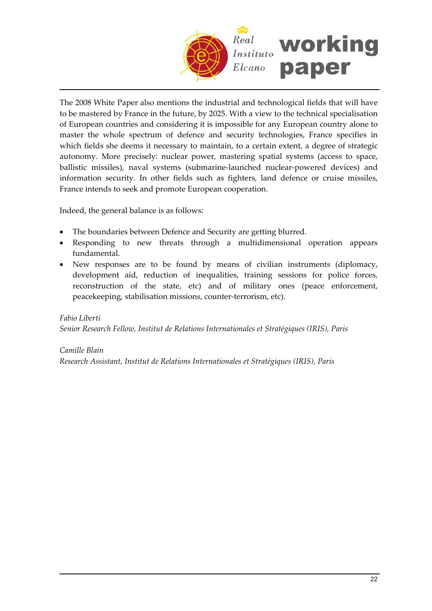

The 2008 White Paper also mentions the industrial and technological fields that will have to be mastered by France in the future, by 2025. With a view to the technical specialisation of European countries and considering it is impossible for any European country alone to master the whole spectrum of defence and security technologies, France specifies in which fields she deems it necessary to maintain, to a certain extent, a degree of strategic autonomy. More precisely: nuclear power, mastering spatial systems (access to space, ballistic missiles), naval systems (submarine‐launched nuclear‐powered devices) and information security. In other fields such as fighters, land defence or cruise missiles, France intends to seek and promote European cooperation.

Indeed, the general balance is as follows:

- The boundaries between Defence and Security are getting blurred.
- Responding to new threats through a multidimensional operation appears fundamental.
- New responses are to be found by means of civilian instruments (diplomacy, development aid, reduction of inequalities, training sessions for police forces, reconstruction of the state, etc) and of military ones (peace enforcement, peacekeeping, stabilisation missions, counter‐terrorism, etc).

#### *Fabio Liberti*

*Senior Research Fellow, Institut de Relations Internationales et Stratégiques (IRIS), Paris*

# *Camille Blain*

*Research Assistant, Institut de Relations Internationales et Stratégiques (IRIS), Paris*